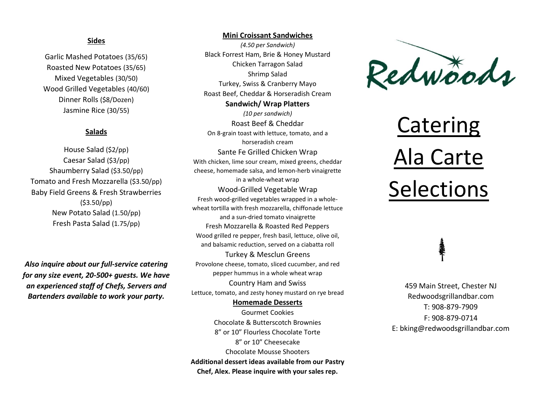### **Sides**

Garlic Mashed Potatoes (35/65) Roasted New Potatoes (35/65) Mixed Vegetables (30/50) Wood Grilled Vegetables (40/60) Dinner Rolls (\$8/Dozen) Jasmine Rice (30/55)

# **Salads**

House Salad (\$2/pp) Caesar Salad (\$3/pp) Shaumberry Salad (\$3.50/pp) Tomato and Fresh Mozzarella (\$3.50/pp) Baby Field Greens & Fresh Strawberries (\$3.50/pp) New Potato Salad (1.50/pp) Fresh Pasta Salad (1.75/pp)

*Also inquire about our full-service catering for any size event, 20-500+ guests. We have an experienced staff of Chefs, Servers and Bartenders available to work your party.* 

#### **Mini Croissant Sandwiches**

*(4.50 per Sandwich)* Black Forrest Ham, Brie & Honey Mustard Chicken Tarragon Salad Shrimp Salad Turkey, Swiss & Cranberry Mayo Roast Beef, Cheddar & Horseradish Cream **Sandwich/ Wrap Platters**  *(10 per sandwich)*  Roast Beef & Cheddar On 8-grain toast with lettuce, tomato, and a horseradish cream Sante Fe Grilled Chicken Wrap With chicken, lime sour cream, mixed greens, cheddar cheese, homemade salsa, and lemon-herb vinaigrette in a whole-wheat wrap Wood-Grilled Vegetable Wrap Fresh wood-grilled vegetables wrapped in a wholewheat tortilla with fresh mozzarella, chiffonade lettuce and a sun-dried tomato vinaigrette Fresh Mozzarella & Roasted Red Peppers Wood grilled re pepper, fresh basil, lettuce, olive oil, and balsamic reduction, served on a ciabatta roll Turkey & Mesclun Greens Provolone cheese, tomato, sliced cucumber, and red pepper hummus in a whole wheat wrap Country Ham and Swiss Lettuce, tomato, and zesty honey mustard on rye bread **Homemade Desserts**  Gourmet Cookies

Chocolate & Butterscotch Brownies 8" or 10" Flourless Chocolate Torte 8" or 10" Cheesecake Chocolate Mousse Shooters **Additional dessert ideas available from our Pastry Chef, Alex. Please inquire with your sales rep.** 



# **Catering** Ala Carte Selections

459 Main Street, Chester NJ Redwoodsgrillandbar.com T: 908-879-7909 F: 908-879-0714 E: bking@redwoodsgrillandbar.com